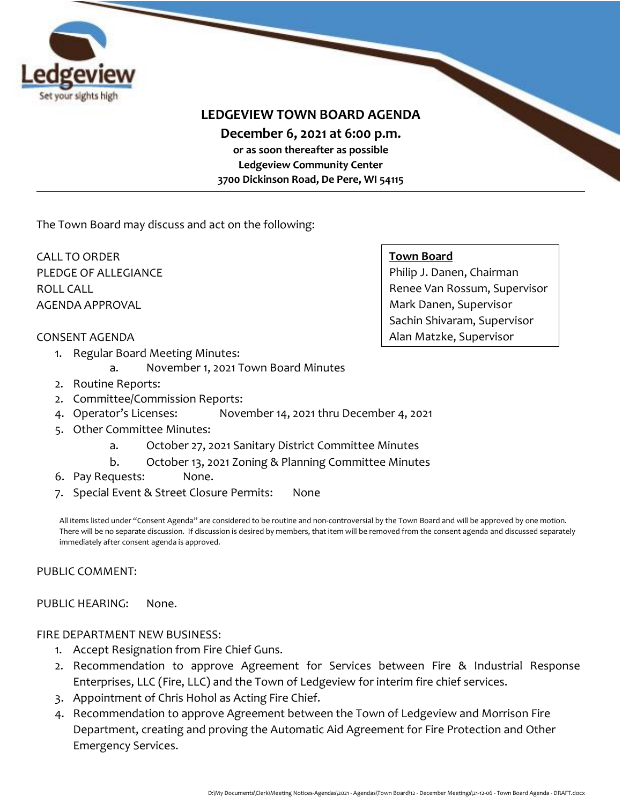

## **LEDGEVIEW TOWN BOARD AGENDA**

**December 6, 2021 at 6:00 p.m.** 

**or as soon thereafter as possible Ledgeview Community Center 3700 Dickinson Road, De Pere, WI 54115**

The Town Board may discuss and act on the following:

CALL TO ORDER PLEDGE OF ALLEGIANCE ROLL CALL AGENDA APPROVAL

#### **Town Board**

Philip J. Danen, Chairman Renee Van Rossum, Supervisor Mark Danen, Supervisor Sachin Shivaram, Supervisor Alan Matzke, Supervisor

#### CONSENT AGENDA

- 1. Regular Board Meeting Minutes:
	- a. November 1, 2021 Town Board Minutes
- 2. Routine Reports:
- 2. Committee/Commission Reports:
- 4. Operator's Licenses: November 14, 2021 thru December 4, 2021
- 5. Other Committee Minutes:
	- a. October 27, 2021 Sanitary District Committee Minutes
	- b. October 13, 2021 Zoning & Planning Committee Minutes
- 6. Pay Requests: None.
- 7. Special Event & Street Closure Permits: None

All items listed under "Consent Agenda" are considered to be routine and non-controversial by the Town Board and will be approved by one motion. There will be no separate discussion. If discussion is desired by members, that item will be removed from the consent agenda and discussed separately immediately after consent agenda is approved.

#### PUBLIC COMMENT:

### PUBLIC HEARING: None.

#### FIRE DEPARTMENT NEW BUSINESS:

- 1. Accept Resignation from Fire Chief Guns.
- 2. Recommendation to approve Agreement for Services between Fire & Industrial Response Enterprises, LLC (Fire, LLC) and the Town of Ledgeview for interim fire chief services.
- 3. Appointment of Chris Hohol as Acting Fire Chief.
- 4. Recommendation to approve Agreement between the Town of Ledgeview and Morrison Fire Department, creating and proving the Automatic Aid Agreement for Fire Protection and Other Emergency Services.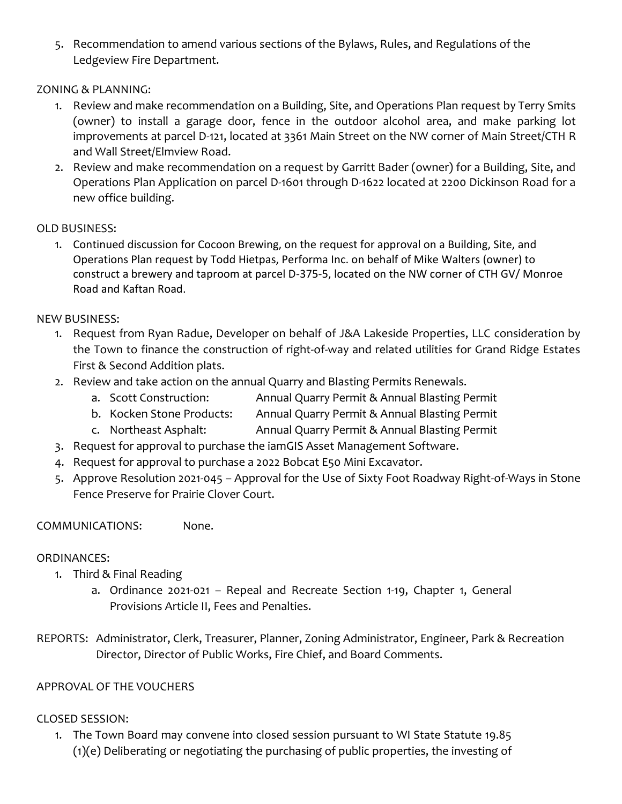5. Recommendation to amend various sections of the Bylaws, Rules, and Regulations of the Ledgeview Fire Department.

## ZONING & PLANNING:

- 1. Review and make recommendation on a Building, Site, and Operations Plan request by Terry Smits (owner) to install a garage door, fence in the outdoor alcohol area, and make parking lot improvements at parcel D-121, located at 3361 Main Street on the NW corner of Main Street/CTH R and Wall Street/Elmview Road.
- 2. Review and make recommendation on a request by Garritt Bader (owner) for a Building, Site, and Operations Plan Application on parcel D-1601 through D-1622 located at 2200 Dickinson Road for a new office building.

## OLD BUSINESS:

1. Continued discussion for Cocoon Brewing, on the request for approval on a Building, Site, and Operations Plan request by Todd Hietpas, Performa Inc. on behalf of Mike Walters (owner) to construct a brewery and taproom at parcel D-375-5, located on the NW corner of CTH GV/ Monroe Road and Kaftan Road.

## NEW BUSINESS:

- 1. Request from Ryan Radue, Developer on behalf of J&A Lakeside Properties, LLC consideration by the Town to finance the construction of right-of-way and related utilities for Grand Ridge Estates First & Second Addition plats.
- 2. Review and take action on the annual Quarry and Blasting Permits Renewals.
	- a. Scott Construction: Annual Quarry Permit & Annual Blasting Permit
	- b. Kocken Stone Products: Annual Quarry Permit & Annual Blasting Permit
	- c. Northeast Asphalt: Annual Quarry Permit & Annual Blasting Permit
- 3. Request for approval to purchase the iamGIS Asset Management Software.
- 4. Request for approval to purchase a 2022 Bobcat E50 Mini Excavator.
- 5. Approve Resolution 2021-045 Approval for the Use of Sixty Foot Roadway Right-of-Ways in Stone Fence Preserve for Prairie Clover Court.

### COMMUNICATIONS: None.

### ORDINANCES:

- 1. Third & Final Reading
	- a. Ordinance 2021-021 Repeal and Recreate Section 1-19, Chapter 1, General Provisions Article II, Fees and Penalties.
- REPORTS: Administrator, Clerk, Treasurer, Planner, Zoning Administrator, Engineer, Park & Recreation Director, Director of Public Works, Fire Chief, and Board Comments.

## APPROVAL OF THE VOUCHERS

### CLOSED SESSION:

1. The Town Board may convene into closed session pursuant to WI State Statute 19.85 (1)(e) Deliberating or negotiating the purchasing of public properties, the investing of